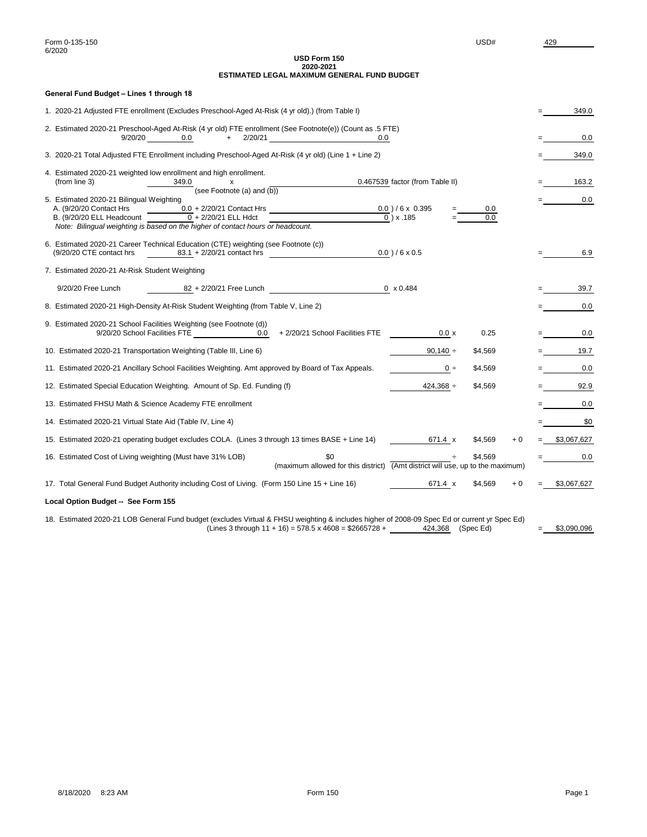# **USD Form 150 2020-2021 ESTIMATED LEGAL MAXIMUM GENERAL FUND BUDGET**

# **General Fund Budget – Lines 1 through 18**

| 1. 2020-21 Adjusted FTE enrollment (Excludes Preschool-Aged At-Risk (4 yr old).) (from Table I)                                                                                                                             |      | 349.0           |
|-----------------------------------------------------------------------------------------------------------------------------------------------------------------------------------------------------------------------------|------|-----------------|
| 2. Estimated 2020-21 Preschool-Aged At-Risk (4 yr old) FTE enrollment (See Footnote(e)) (Count as .5 FTE)<br>$+$ 2/20/21<br>9/20/20<br>0.0                                                                                  |      | 0.0             |
| 3. 2020-21 Total Adjusted FTE Enrollment including Preschool-Aged At-Risk (4 yr old) (Line 1 + Line 2)                                                                                                                      |      | 349.0           |
| 4. Estimated 2020-21 weighted low enrollment and high enrollment.<br>0.467539 factor (from Table II)<br>(from line 3)<br>349.0<br>$\mathsf{x}$<br>(see Footnote (a) and $(b)$ )<br>5. Estimated 2020-21 Bilingual Weighting |      | 163.2<br>0.0    |
| 0.0<br>B. (9/20/20 ELL Headcount $\overline{0}$ + 2/20/21 ELL Hdct<br>$\overline{0}$ ) x .185<br>0.0<br>Note: Bilingual weighting is based on the higher of contact hours or headcount.                                     |      |                 |
| 6. Estimated 2020-21 Career Technical Education (CTE) weighting (see Footnote (c))<br>$0.0$ )/6 x 0.5<br>$83.1 + 2/20/21$ contact hrs<br>(9/20/20 CTE contact hrs                                                           |      | 6.9             |
| 7. Estimated 2020-21 At-Risk Student Weighting                                                                                                                                                                              |      |                 |
| 82 + 2/20/21 Free Lunch<br>$0 \times 0.484$<br>9/20/20 Free Lunch                                                                                                                                                           |      | 39.7            |
| 8. Estimated 2020-21 High-Density At-Risk Student Weighting (from Table V, Line 2)                                                                                                                                          |      | 0.0             |
| 9. Estimated 2020-21 School Facilities Weighting (see Footnote (d))<br>9/20/20 School Facilities FTE 10.0<br>+ 2/20/21 School Facilities FTE<br>$0.0 \times$<br>0.25                                                        |      | 0.0             |
| 10. Estimated 2020-21 Transportation Weighting (Table III, Line 6)<br>90,140 $\div$<br>\$4,569                                                                                                                              |      | 19.7            |
| 11. Estimated 2020-21 Ancillary School Facilities Weighting. Amt approved by Board of Tax Appeals.<br>\$4,569<br>$0 \div$                                                                                                   |      | 0.0             |
| 12. Estimated Special Education Weighting. Amount of Sp. Ed. Funding (f)<br>$424,368 \div$<br>\$4,569                                                                                                                       |      | 92.9            |
| 13. Estimated FHSU Math & Science Academy FTE enrollment                                                                                                                                                                    |      | 0.0             |
| 14. Estimated 2020-21 Virtual State Aid (Table IV, Line 4)                                                                                                                                                                  |      | \$0             |
| 15. Estimated 2020-21 operating budget excludes COLA. (Lines 3 through 13 times BASE + Line 14)<br>$671.4 \times$<br>\$4,569                                                                                                | $+0$ | $=$ \$3,067,627 |
| 16. Estimated Cost of Living weighting (Must have 31% LOB)<br>\$0<br>\$4.569<br>(maximum allowed for this district) (Amt district will use, up to the maximum)                                                              |      | 0.0             |
| 17. Total General Fund Budget Authority including Cost of Living. (Form 150 Line 15 + Line 16)<br>671.4 x<br>\$4,569                                                                                                        | $+0$ | \$3,067,627     |
| Local Option Budget -- See Form 155                                                                                                                                                                                         |      |                 |
| 18. Estimated 2020-21 LOB General Fund budget (excludes Virtual & FHSU weighting & includes higher of 2008-09 Spec Ed or current yr Spec Ed)                                                                                |      |                 |

| (Lines 3 through $11 + 16$ ) = 578.5 x 4608 = \$2665728 + |  | 424,368 | (Spec Ed) | \$3,090,096 |
|-----------------------------------------------------------|--|---------|-----------|-------------|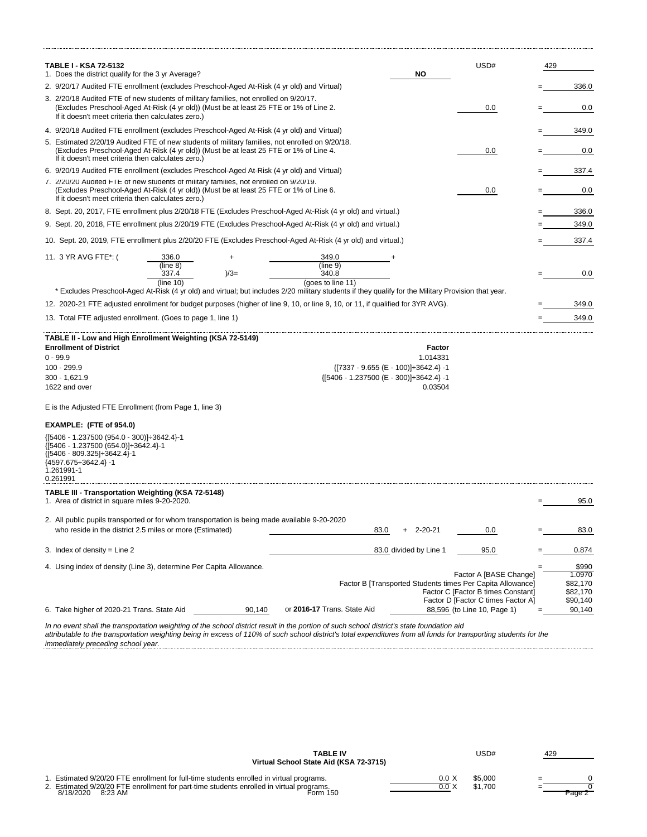| TABLE I - KSA 72-5132<br>1. Does the district qualify for the 3 yr Average?                                                                                                                                                                     | ΝO                     | USD#                                                                     | 429 |                      |
|-------------------------------------------------------------------------------------------------------------------------------------------------------------------------------------------------------------------------------------------------|------------------------|--------------------------------------------------------------------------|-----|----------------------|
| 2. 9/20/17 Audited FTE enrollment (excludes Preschool-Aged At-Risk (4 yr old) and Virtual)                                                                                                                                                      |                        |                                                                          |     | 336.0                |
| 3. 2/20/18 Audited FTE of new students of military families, not enrolled on 9/20/17.                                                                                                                                                           |                        |                                                                          |     |                      |
| (Excludes Preschool-Aged At-Risk (4 yr old)) (Must be at least 25 FTE or 1% of Line 2.<br>If it doesn't meet criteria then calculates zero.)                                                                                                    |                        | 0.0                                                                      |     | 0.0                  |
| 4. 9/20/18 Audited FTE enrollment (excludes Preschool-Aged At-Risk (4 yr old) and Virtual)                                                                                                                                                      |                        |                                                                          |     | 349.0                |
| 5. Estimated 2/20/19 Audited FTE of new students of military families, not enrolled on 9/20/18.<br>(Excludes Preschool-Aged At-Risk (4 yr old)) (Must be at least 25 FTE or 1% of Line 4.<br>If it doesn't meet criteria then calculates zero.) |                        | 0.0                                                                      |     | 0.0                  |
| 6. 9/20/19 Audited FTE enrollment (excludes Preschool-Aged At-Risk (4 yr old) and Virtual)                                                                                                                                                      |                        |                                                                          |     | 337.4                |
| 7. 2/20/20 Audited FTE of new students of military families, not enrolled on 9/20/19.<br>(Excludes Preschool-Aged At-Risk (4 yr old)) (Must be at least 25 FTE or 1% of Line 6.<br>If it doesn't meet criteria then calculates zero.)           |                        | $0.0\,$                                                                  |     | 0.0                  |
|                                                                                                                                                                                                                                                 |                        |                                                                          |     |                      |
| 8. Sept. 20, 2017, FTE enrollment plus 2/20/18 FTE (Excludes Preschool-Aged At-Risk (4 yr old) and virtual.)                                                                                                                                    |                        |                                                                          |     | 336.0                |
| 9. Sept. 20, 2018, FTE enrollment plus 2/20/19 FTE (Excludes Preschool-Aged At-Risk (4 yr old) and virtual.)                                                                                                                                    |                        |                                                                          |     | 349.0                |
| 10. Sept. 20, 2019, FTE enrollment plus 2/20/20 FTE (Excludes Preschool-Aged At-Risk (4 yr old) and virtual.)                                                                                                                                   |                        |                                                                          |     | 337.4                |
| 11. 3 YR AVG FTE*: (<br>336.0<br>349.0                                                                                                                                                                                                          |                        |                                                                          |     |                      |
| (line 9)<br>(line 8)<br>340.8<br>337.4<br>$)/3=$                                                                                                                                                                                                |                        |                                                                          |     | 0.0                  |
| (line 10)<br>(goes to line 11)<br>* Excludes Preschool-Aged At-Risk (4 yr old) and virtual; but includes 2/20 military students if they qualify for the Military Provision that year.                                                           |                        |                                                                          |     |                      |
| 12. 2020-21 FTE adjusted enrollment for budget purposes (higher of line 9, 10, or line 9, 10, or 11, if qualified for 3YR AVG).                                                                                                                 |                        |                                                                          |     | 349.0                |
| 13. Total FTE adjusted enrollment. (Goes to page 1, line 1)                                                                                                                                                                                     |                        |                                                                          |     | 349.0                |
| TABLE II - Low and High Enrollment Weighting (KSA 72-5149)                                                                                                                                                                                      |                        |                                                                          |     |                      |
| <b>Enrollment of District</b>                                                                                                                                                                                                                   | Factor                 |                                                                          |     |                      |
| $0 - 99.9$                                                                                                                                                                                                                                      | 1.014331               |                                                                          |     |                      |
| 100 - 299.9<br>$\{[7337 - 9.655 (E - 100)] \div 3642.4\} - 1$                                                                                                                                                                                   |                        |                                                                          |     |                      |
| 300 - 1,621.9<br>${5406 - 1.237500 (E - 300)} \div 3642.4$ -1                                                                                                                                                                                   |                        |                                                                          |     |                      |
| 1622 and over                                                                                                                                                                                                                                   | 0.03504                |                                                                          |     |                      |
| E is the Adjusted FTE Enrollment (from Page 1, line 3)                                                                                                                                                                                          |                        |                                                                          |     |                      |
| EXAMPLE: (FTE of 954.0)                                                                                                                                                                                                                         |                        |                                                                          |     |                      |
| {(5406 - 1.237500 (954.0 - 300)}÷3642.4}-1<br>{[5406 - 1.237500 (654.0)] - 3642.4}-1<br>{[5406 - 809.325]÷3642.4}-1<br>{4597.675÷3642.4} -1<br>1.261991-1<br>0.261991                                                                           |                        |                                                                          |     |                      |
| TABLE III - Transportation Weighting (KSA 72-5148)                                                                                                                                                                                              |                        |                                                                          |     |                      |
| 1. Area of district in square miles 9-20-2020.                                                                                                                                                                                                  |                        |                                                                          |     | 95.0                 |
| 2. All public pupils transported or for whom transportation is being made available 9-20-2020<br>who reside in the district 2.5 miles or more (Estimated)<br>83.0                                                                               | +<br>2-20-21           | 0.0                                                                      |     | 83.0                 |
| 3. Index of density = Line 2                                                                                                                                                                                                                    | 83.0 divided by Line 1 | 95.0                                                                     |     | 0.874                |
|                                                                                                                                                                                                                                                 |                        |                                                                          |     | \$990                |
| 4. Using index of density (Line 3), determine Per Capita Allowance.                                                                                                                                                                             |                        | Factor A [BASE Change]                                                   |     | 1.0970               |
|                                                                                                                                                                                                                                                 |                        | Factor B [Transported Students times Per Capita Allowance]               |     | \$82,170             |
|                                                                                                                                                                                                                                                 |                        | Factor C [Factor B times Constant]<br>Factor D [Factor C times Factor A] |     | \$82,170<br>\$90,140 |
| or 2016-17 Trans. State Aid<br>6. Take higher of 2020-21 Trans. State Aid<br>90,140                                                                                                                                                             |                        | 88,596 (to Line 10, Page 1)                                              |     | 90,140               |
| In no event shall the transportation weighting of the school district result in the portion of such school district's state foundation aid                                                                                                      |                        |                                                                          |     |                      |

In no event shall the transportation weighting of the school district result in the portion of such school district's state foundation aid<br>attributable to the transportation weighting being in excess of 110% of such school *immediately preceding school year.*

| <b>TABLE IV</b>                                                                                                                     | USD#    | 429 |        |
|-------------------------------------------------------------------------------------------------------------------------------------|---------|-----|--------|
| Virtual School State Aid (KSA 72-3715)                                                                                              |         |     |        |
|                                                                                                                                     |         |     |        |
| . Estimated 9/20/20 FTE enrollment for full-time students enrolled in virtual programs.<br>0.0 X                                    | \$5.000 |     |        |
| 2. Estimated 9/20/20 FTE enrollment for part-time students enrolled in virtual programs.<br>0.0<br>Form 150<br>8/18/2020<br>8:23 AM | \$1.700 |     | Page 2 |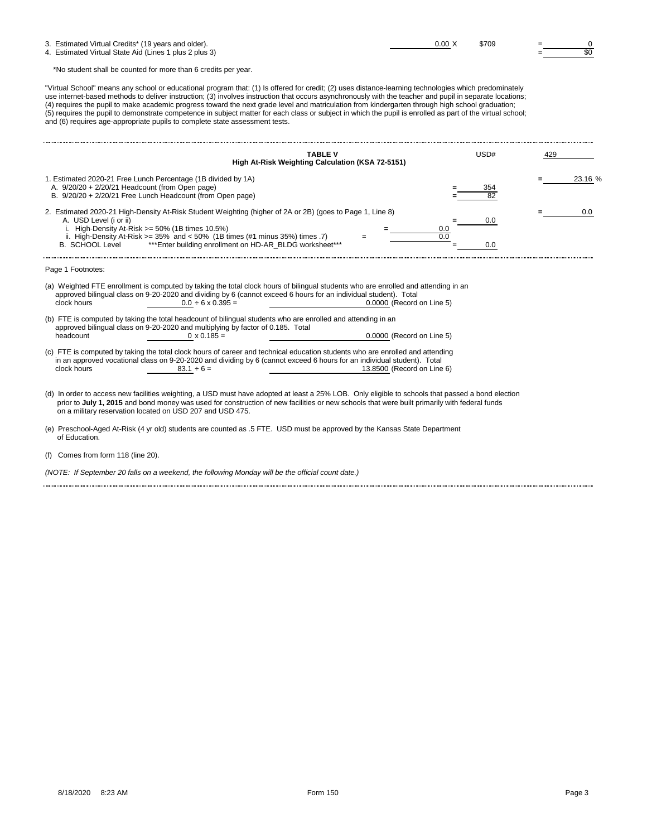| 3. Estimated Virtual Credits* (19 years and older).    | 0.00 X | \$709 |  |
|--------------------------------------------------------|--------|-------|--|
| 4. Estimated Virtual State Aid (Lines 1 plus 2 plus 3) |        |       |  |

\*No student shall be counted for more than 6 credits per year.

"Virtual School" means any school or educational program that: (1) Is offered for credit; (2) uses distance-learning technologies which predominately use internet-based methods to deliver instruction; (3) involves instruction that occurs asynchronously with the teacher and pupil in separate locations; (4) requires the pupil to make academic progress toward the next grade level and matriculation from kindergarten through high school graduation; (5) requires the pupil to demonstrate competence in subject matter for each class or subject in which the pupil is enrolled as part of the virtual school; and (6) requires age-appropriate pupils to complete state assessment tests.

|                                                                                                                                                                                                                                                                                                                                                             | <b>TABLE V</b>                                                                                                                                                                                                                                                                      | USD#              | 429 |         |
|-------------------------------------------------------------------------------------------------------------------------------------------------------------------------------------------------------------------------------------------------------------------------------------------------------------------------------------------------------------|-------------------------------------------------------------------------------------------------------------------------------------------------------------------------------------------------------------------------------------------------------------------------------------|-------------------|-----|---------|
|                                                                                                                                                                                                                                                                                                                                                             | High At-Risk Weighting Calculation (KSA 72-5151)                                                                                                                                                                                                                                    |                   |     |         |
| 1. Estimated 2020-21 Free Lunch Percentage (1B divided by 1A)<br>A. $9/20/20 + 2/20/21$ Headcount (from Open page)<br>B. 9/20/20 + 2/20/21 Free Lunch Headcount (from Open page)                                                                                                                                                                            |                                                                                                                                                                                                                                                                                     |                   |     | 23.16 % |
| 2. Estimated 2020-21 High-Density At-Risk Student Weighting (higher of 2A or 2B) (goes to Page 1, Line 8)<br>A. USD Level (i or ii)<br>i. High-Density At-Risk $>= 50\%$ (1B times 10.5%)<br>ii. High-Density At-Risk $>= 35\%$ and $< 50\%$ (1B times (#1 minus 35%) times .7)<br>B. SCHOOL Level *** Enter building enrollment on HD-AR BLDG worksheet*** |                                                                                                                                                                                                                                                                                     | 0.0<br>0.0<br>0.0 |     | 0.0     |
| Page 1 Footnotes:                                                                                                                                                                                                                                                                                                                                           |                                                                                                                                                                                                                                                                                     |                   |     |         |
| clock hours<br>$0.0 \div 6 \times 0.395 =$                                                                                                                                                                                                                                                                                                                  | (a) Weighted FTE enrollment is computed by taking the total clock hours of bilingual students who are enrolled and attending in an<br>approved bilingual class on 9-20-2020 and dividing by 6 (cannot exceed 6 hours for an individual student). Total<br>0.0000 (Record on Line 5) |                   |     |         |
| (b) FTE is computed by taking the total headcount of bilingual students who are enrolled and attending in an<br>approved bilingual class on 9-20-2020 and multiplying by factor of 0.185. Total<br>headcount<br>$0 \times 0.185 =$                                                                                                                          | 0.0000 (Record on Line 5)                                                                                                                                                                                                                                                           |                   |     |         |

(c) FTE is computed by taking the total clock hours of career and technical education students who are enrolled and attending<br>in an approved vocational class on 9-20-2020 and dividing by 6 (cannot exceed 6 hours for an in

(d) In order to access new facilities weighting, a USD must have adopted at least a 25% LOB. Only eligible to schools that passed a bond election prior to **July 1, 2015** and bond money was used for construction of new facilities or new schools that were built primarily with federal funds on a military reservation located on USD 207 and USD 475.

(e) Preschool-Aged At-Risk (4 yr old) students are counted as .5 FTE. USD must be approved by the Kansas State Department of Education.

(f) Comes from form 118 (line 20).

*(NOTE: If September 20 falls on a weekend, the following Monday will be the official count date.)*